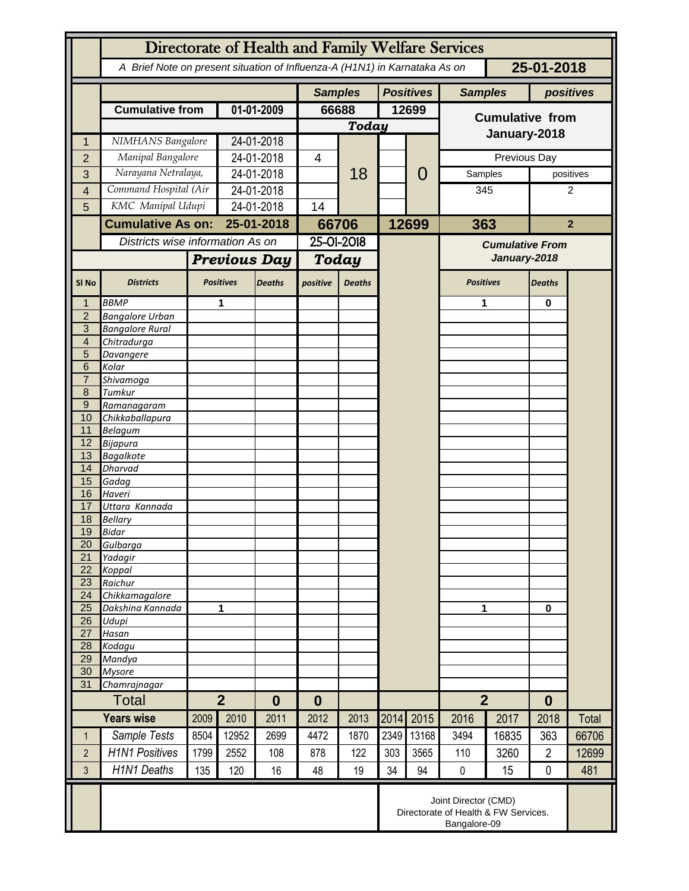|                                  | Directorate of Health and Family Welfare Services                                        |                                                                              |                            |               |                |               |       |                                    |                                        |          |                |                |  |
|----------------------------------|------------------------------------------------------------------------------------------|------------------------------------------------------------------------------|----------------------------|---------------|----------------|---------------|-------|------------------------------------|----------------------------------------|----------|----------------|----------------|--|
|                                  | A Brief Note on present situation of Influenza-A (H1N1) in Karnataka As on<br>25-01-2018 |                                                                              |                            |               |                |               |       |                                    |                                        |          |                |                |  |
|                                  |                                                                                          |                                                                              |                            |               | <b>Samples</b> |               |       | <b>Positives</b><br><b>Samples</b> |                                        |          | positives      |                |  |
|                                  | <b>Cumulative from</b>                                                                   |                                                                              | 01-01-2009                 |               | 66688          |               | 12699 |                                    | <b>Cumulative from</b><br>January-2018 |          |                |                |  |
|                                  |                                                                                          |                                                                              |                            |               | Today          |               |       |                                    |                                        |          |                |                |  |
|                                  | NIMHANS Bangalore                                                                        |                                                                              | 24-01-2018                 |               |                |               |       |                                    |                                        |          |                |                |  |
| $\overline{2}$                   | Manipal Bangalore                                                                        |                                                                              | 24-01-2018                 |               | 4              |               |       | 0                                  | Previous Day                           |          |                |                |  |
| 3                                | Narayana Netralaya,                                                                      |                                                                              | 24-01-2018                 |               |                | 18            |       |                                    | Samples                                |          |                | positives      |  |
| 4                                | Command Hospital (Air                                                                    |                                                                              | 24-01-2018                 |               |                |               |       |                                    | 345                                    |          | 2              |                |  |
| 5                                | KMC Manipal Udupi                                                                        |                                                                              | 24-01-2018                 |               | 14             |               |       |                                    |                                        |          |                |                |  |
|                                  |                                                                                          | <b>Cumulative As on:</b>                                                     |                            | 25-01-2018    |                | 66706         |       | 12699                              | 363                                    |          |                | $\overline{2}$ |  |
|                                  | Districts wise information As on                                                         |                                                                              |                            |               | 25-01-2018     |               |       |                                    | <b>Cumulative From</b>                 |          |                |                |  |
|                                  |                                                                                          |                                                                              | <b>Previous Day</b>        |               | Today          |               |       |                                    | January-2018                           |          |                |                |  |
| SI <sub>No</sub>                 | <b>Districts</b>                                                                         |                                                                              | <b>Positives</b>           | <b>Deaths</b> | positive       | <b>Deaths</b> |       |                                    | <b>Positives</b>                       |          | <b>Deaths</b>  |                |  |
|                                  | <b>BBMP</b>                                                                              |                                                                              | 1                          |               |                |               |       |                                    | 1                                      |          | 0              |                |  |
| $\overline{2}$<br>$\overline{3}$ | <b>Bangalore Urban</b>                                                                   |                                                                              |                            |               |                |               |       |                                    |                                        |          |                |                |  |
| $\overline{4}$                   | <b>Bangalore Rural</b><br>Chitradurga                                                    |                                                                              |                            |               |                |               |       |                                    |                                        |          |                |                |  |
| 5                                | Davangere                                                                                |                                                                              |                            |               |                |               |       |                                    |                                        |          |                |                |  |
| 6                                | Kolar                                                                                    |                                                                              |                            |               |                |               |       |                                    |                                        |          |                |                |  |
| $\overline{7}$                   | Shivamoga                                                                                |                                                                              |                            |               |                |               |       |                                    |                                        |          |                |                |  |
| 8<br>$\overline{9}$              | Tumkur                                                                                   |                                                                              |                            |               |                |               |       |                                    |                                        |          |                |                |  |
| 10                               | Ramanagaram<br>Chikkaballapura                                                           |                                                                              |                            |               |                |               |       |                                    |                                        |          |                |                |  |
| 11                               | <b>Belagum</b>                                                                           |                                                                              |                            |               |                |               |       |                                    |                                        |          |                |                |  |
| 12                               | <b>Bijapura</b>                                                                          |                                                                              |                            |               |                |               |       |                                    |                                        |          |                |                |  |
| 13                               | <b>Bagalkote</b>                                                                         |                                                                              |                            |               |                |               |       |                                    |                                        |          |                |                |  |
| 14<br>15                         | <b>Dharvad</b><br>Gadag                                                                  |                                                                              |                            |               |                |               |       |                                    |                                        |          |                |                |  |
| 16                               | Haveri                                                                                   |                                                                              |                            |               |                |               |       |                                    |                                        |          |                |                |  |
| 17                               | Uttara Kannada                                                                           |                                                                              |                            |               |                |               |       |                                    |                                        |          |                |                |  |
| 18                               | <b>Bellary</b>                                                                           |                                                                              |                            |               |                |               |       |                                    |                                        |          |                |                |  |
| 19                               | <b>Bidar</b>                                                                             |                                                                              |                            |               |                |               |       |                                    |                                        |          |                |                |  |
| 20<br>21                         | Gulbarga<br>Yadagir                                                                      |                                                                              |                            |               |                |               |       |                                    |                                        |          |                |                |  |
| 22                               | Koppal                                                                                   |                                                                              |                            |               |                |               |       |                                    |                                        |          |                |                |  |
| 23                               | Raichur                                                                                  |                                                                              |                            |               |                |               |       |                                    |                                        |          |                |                |  |
| 24                               | Chikkamagalore                                                                           |                                                                              |                            |               |                |               |       |                                    |                                        |          |                |                |  |
| 25<br>26                         | Dakshina Kannada<br>Udupi                                                                | 1                                                                            |                            |               |                |               |       |                                    | 1                                      |          | 0              |                |  |
| 27                               | Hasan                                                                                    |                                                                              |                            |               |                |               |       |                                    |                                        |          |                |                |  |
| 28                               | Kodagu                                                                                   |                                                                              |                            |               |                |               |       |                                    |                                        |          |                |                |  |
| 29                               | Mandya                                                                                   |                                                                              |                            |               |                |               |       |                                    |                                        |          |                |                |  |
| 30                               | <b>Mysore</b>                                                                            |                                                                              |                            |               |                |               |       |                                    |                                        |          |                |                |  |
| 31                               | Chamrajnagar<br>Total                                                                    |                                                                              | $\overline{2}$<br>$\bf{0}$ |               |                | $\bf{0}$      |       |                                    | $\overline{2}$                         | $\bf{0}$ |                |                |  |
|                                  | <b>Years wise</b>                                                                        |                                                                              |                            |               |                |               |       |                                    |                                        |          |                |                |  |
|                                  |                                                                                          | 2009                                                                         | 2010                       | 2011          | 2012           | 2013          | 2014  | 2015                               | 2016                                   | 2017     | 2018           | Total          |  |
| 1                                | Sample Tests                                                                             | 8504                                                                         | 12952                      | 2699          | 4472           | 1870          | 2349  | 13168                              | 3494                                   | 16835    | 363            | 66706          |  |
| $\overline{2}$                   | <b>H1N1 Positives</b>                                                                    | 1799                                                                         | 2552                       | 108           | 878            | 122           | 303   | 3565                               | 110                                    | 3260     | $\overline{2}$ | 12699          |  |
| 3                                | <b>H1N1 Deaths</b>                                                                       | 135                                                                          | 120                        | 16            | 48             | 19            | 34    | 94                                 | $\pmb{0}$                              | 15       | $\mathbf 0$    | 481            |  |
|                                  |                                                                                          | Joint Director (CMD)<br>Directorate of Health & FW Services.<br>Bangalore-09 |                            |               |                |               |       |                                    |                                        |          |                |                |  |